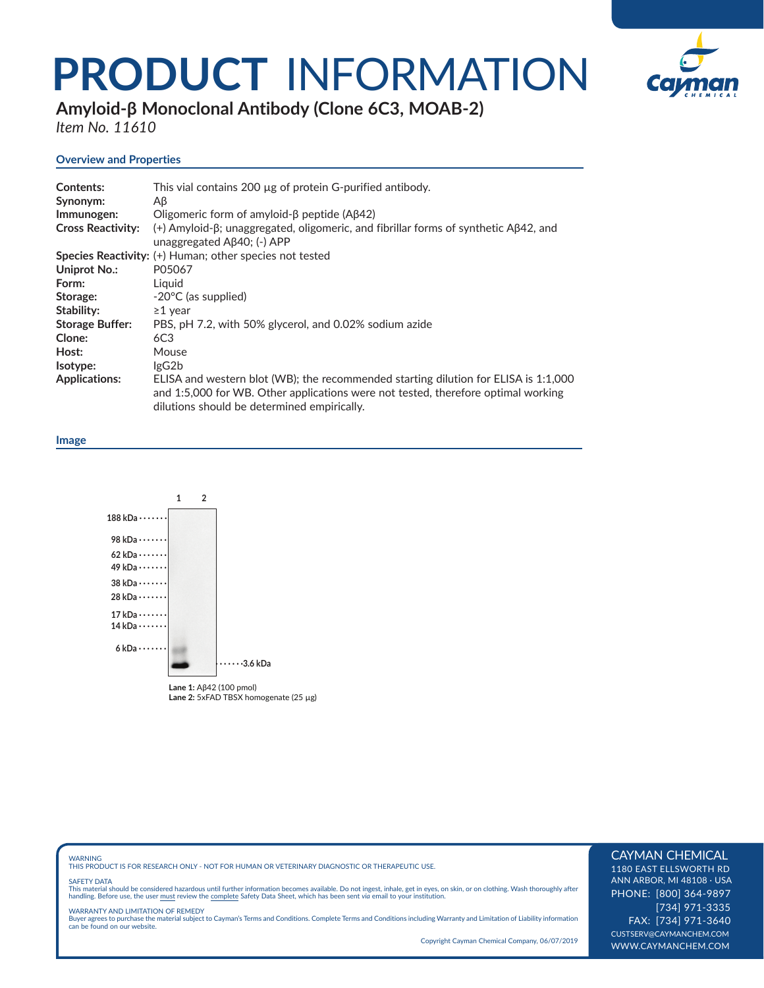# **PRODUCT** INFORMATION



**Amyloid-β Monoclonal Antibody (Clone 6C3, MOAB-2)** 

*Item No. 11610* 

# **Overview and Properties**

| <b>Contents:</b><br>Synonym: | This vial contains 200 µg of protein G-purified antibody.<br>Aβ                                                                                                                                                         |
|------------------------------|-------------------------------------------------------------------------------------------------------------------------------------------------------------------------------------------------------------------------|
| Immunogen:                   | Oligomeric form of amyloid- $\beta$ peptide (A $\beta$ 42)                                                                                                                                                              |
| <b>Cross Reactivity:</b>     | $(+)$ Amyloid- $\beta$ ; unaggregated, oligomeric, and fibrillar forms of synthetic A $\beta$ 42, and<br>unaggregated $\mathsf{A}\beta 40$ ; (-) APP                                                                    |
|                              | Species Reactivity: (+) Human; other species not tested                                                                                                                                                                 |
| Uniprot No.:                 | P05067                                                                                                                                                                                                                  |
| Form:                        | Liquid                                                                                                                                                                                                                  |
| Storage:                     | $-20^{\circ}$ C (as supplied)                                                                                                                                                                                           |
| Stability:                   | $\geq$ 1 year                                                                                                                                                                                                           |
| <b>Storage Buffer:</b>       | PBS, pH 7.2, with 50% glycerol, and 0.02% sodium azide                                                                                                                                                                  |
| Clone:                       | 6C3                                                                                                                                                                                                                     |
| Host:                        | Mouse                                                                                                                                                                                                                   |
| Isotype:                     | lgG2b                                                                                                                                                                                                                   |
| <b>Applications:</b>         | ELISA and western blot (WB); the recommended starting dilution for ELISA is 1:1,000<br>and 1:5,000 for WB. Other applications were not tested, therefore optimal working<br>dilutions should be determined empirically. |

#### **Image**



WARNING THIS PRODUCT IS FOR RESEARCH ONLY - NOT FOR HUMAN OR VETERINARY DIAGNOSTIC OR THERAPEUTIC USE.

#### SAFETY DATA

This material should be considered hazardous until further information becomes available. Do not ingest, inhale, get in eyes, on skin, or on clothing. Wash thoroughly after<br>handling. Before use, the user must review the co

WARRANTY AND LIMITATION OF REMEDY<br>Buyer agrees to purchase the material subject to Cayman's Terms and Conditions. Complete Terms and Conditions including Warranty and Limitation of Liability information<br>can be found on our

Copyright Cayman Chemical Company, 06/07/2019

# CAYMAN CHEMICAL

1180 EAST ELLSWORTH RD ANN ARBOR, MI 48108 · USA PHONE: [800] 364-9897 [734] 971-3335 FAX: [734] 971-3640 CUSTSERV@CAYMANCHEM.COM WWW.CAYMANCHEM.COM